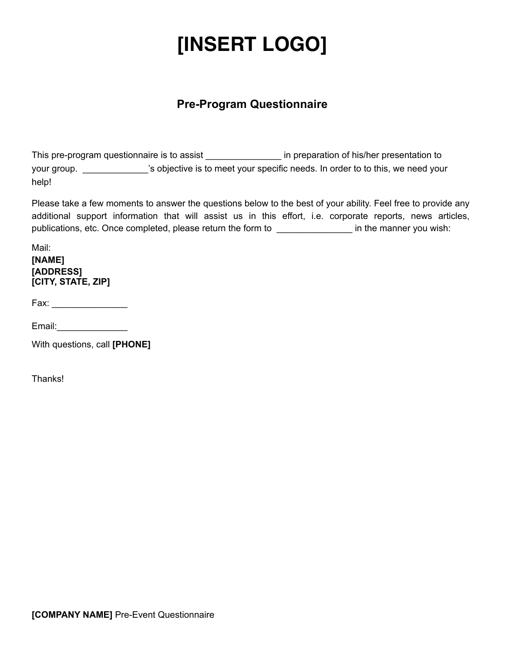#### **Pre-Program Questionnaire**

This pre-program questionnaire is to assist \_\_\_\_\_\_\_\_\_\_\_\_\_\_\_\_\_\_\_\_\_ in preparation of his/her presentation to your group. \_\_\_\_\_\_\_\_\_\_\_\_\_'s objective is to meet your specific needs. In order to to this, we need your help!

Please take a few moments to answer the questions below to the best of your ability. Feel free to provide any additional support information that will assist us in this effort, i.e. corporate reports, news articles, publications, etc. Once completed, please return the form to \_\_\_\_\_\_\_\_\_\_\_\_\_\_\_\_\_\_\_ in the manner you wish:

#### Mail: **[NAME] [ADDRESS] [CITY, STATE, ZIP]**

Fax: \_\_\_\_\_\_\_\_\_\_\_\_\_\_\_

Email:\_\_\_\_\_\_\_\_\_\_\_\_\_\_

With questions, call **[PHONE]**

**Thanks!**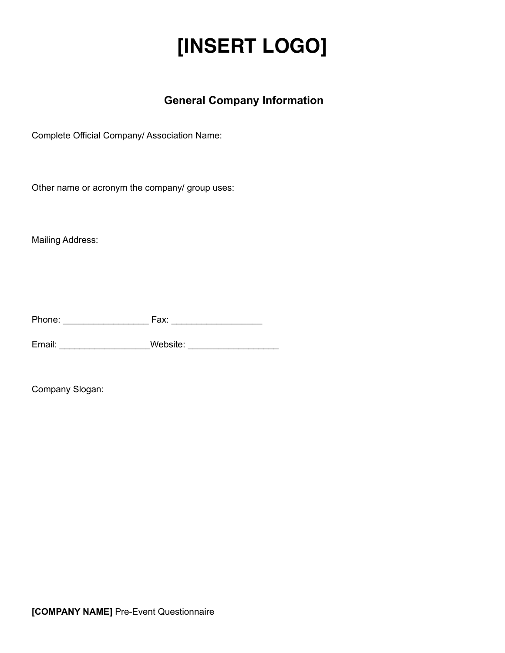#### **General Company Information**

Complete Official Company/ Association Name:

Other name or acronym the company/ group uses:

Mailing Address:

Phone: \_\_\_\_\_\_\_\_\_\_\_\_\_\_\_\_\_ Fax: \_\_\_\_\_\_\_\_\_\_\_\_\_\_\_\_\_\_

Email: \_\_\_\_\_\_\_\_\_\_\_\_\_\_\_\_\_\_Website: \_\_\_\_\_\_\_\_\_\_\_\_\_\_\_\_\_\_

Company Slogan: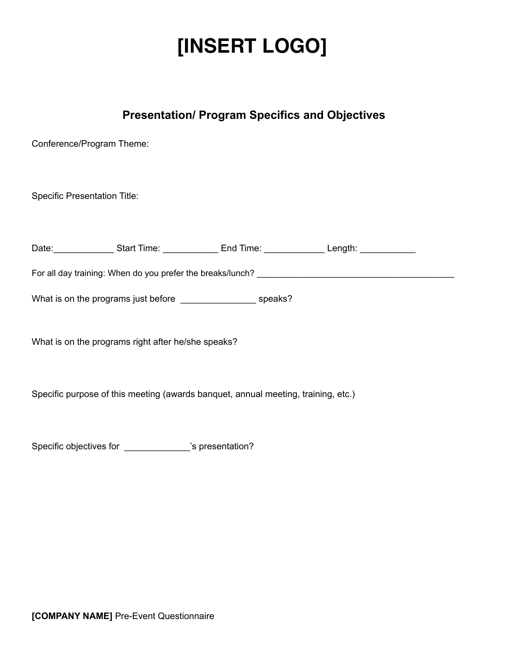#### **Presentation/ Program Specifics and Objectives**

Conference/Program Theme:

Specific Presentation Title:

Date: \_\_\_\_\_\_\_\_\_\_\_\_\_\_\_\_\_\_Start Time: \_\_\_\_\_\_\_\_\_\_\_\_\_\_ End Time: \_\_\_\_\_\_\_\_\_\_\_\_\_\_\_\_\_\_\_Length: \_\_\_\_\_\_\_\_\_\_\_\_

For all day training: When do you prefer the breaks/lunch? \_\_\_\_\_\_\_\_\_\_\_\_\_\_\_\_\_\_\_\_\_\_

What is on the programs just before \_\_\_\_\_\_\_\_\_\_\_\_\_\_\_\_\_\_\_\_\_\_ speaks?

What is on the programs right after he/she speaks?

Specific purpose of this meeting (awards banquet, annual meeting, training, etc.)

Specific objectives for \_\_\_\_\_\_\_\_\_\_\_\_\_'s presentation?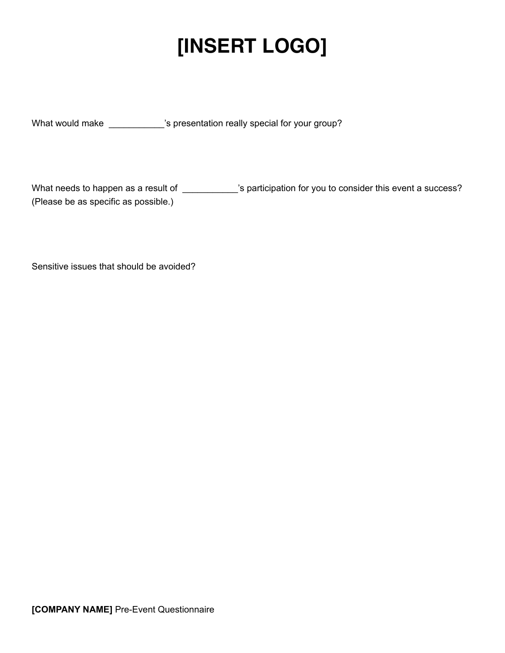What would make \_\_\_\_\_\_\_\_\_\_\_'s presentation really special for your group?

What needs to happen as a result of \_\_\_\_\_\_\_\_\_\_\_'s participation for you to consider this event a success? (Please be as specific as possible.)

Sensitive issues that should be avoided?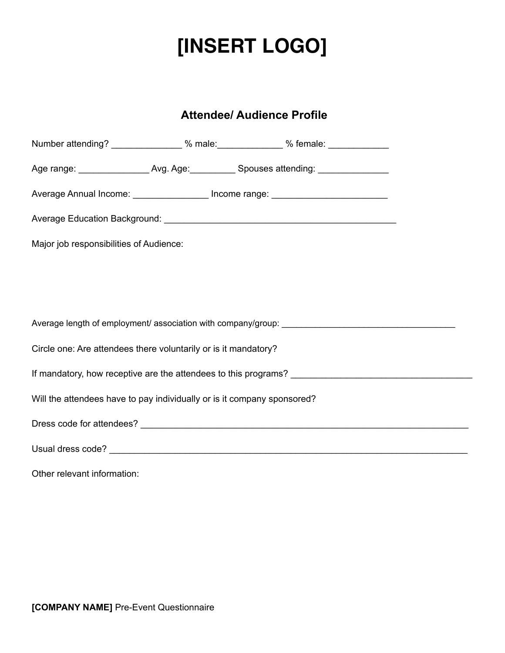#### **Attendee/ Audience Profile**

|                                                                                  |  | Number attending? _______________ % male: _____________ % female: ______________       |  |  |  |
|----------------------------------------------------------------------------------|--|----------------------------------------------------------------------------------------|--|--|--|
|                                                                                  |  | Age range: __________________Avg. Age: ____________Spouses attending: ________________ |  |  |  |
| Average Annual Income: __________________ Income range: ________________________ |  |                                                                                        |  |  |  |
|                                                                                  |  |                                                                                        |  |  |  |
| Major job responsibilities of Audience:                                          |  |                                                                                        |  |  |  |
|                                                                                  |  |                                                                                        |  |  |  |
|                                                                                  |  |                                                                                        |  |  |  |
|                                                                                  |  |                                                                                        |  |  |  |
| Circle one: Are attendees there voluntarily or is it mandatory?                  |  |                                                                                        |  |  |  |
|                                                                                  |  |                                                                                        |  |  |  |
| Will the attendees have to pay individually or is it company sponsored?          |  |                                                                                        |  |  |  |
|                                                                                  |  |                                                                                        |  |  |  |
|                                                                                  |  |                                                                                        |  |  |  |
| Other relevant information:                                                      |  |                                                                                        |  |  |  |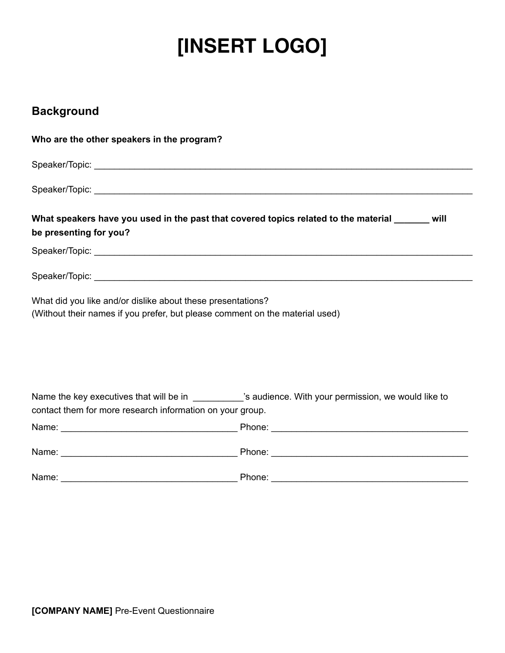#### **Background**

| Who are the other speakers in the program?                  |                                                                                                      |  |  |  |
|-------------------------------------------------------------|------------------------------------------------------------------------------------------------------|--|--|--|
|                                                             |                                                                                                      |  |  |  |
|                                                             |                                                                                                      |  |  |  |
| be presenting for you?                                      | What speakers have you used in the past that covered topics related to the material ______ will      |  |  |  |
|                                                             |                                                                                                      |  |  |  |
|                                                             |                                                                                                      |  |  |  |
| What did you like and/or dislike about these presentations? | (Without their names if you prefer, but please comment on the material used)                         |  |  |  |
| contact them for more research information on your group.   | Name the key executives that will be in _________'s audience. With your permission, we would like to |  |  |  |
|                                                             |                                                                                                      |  |  |  |
|                                                             |                                                                                                      |  |  |  |
| Name:                                                       | Phone:                                                                                               |  |  |  |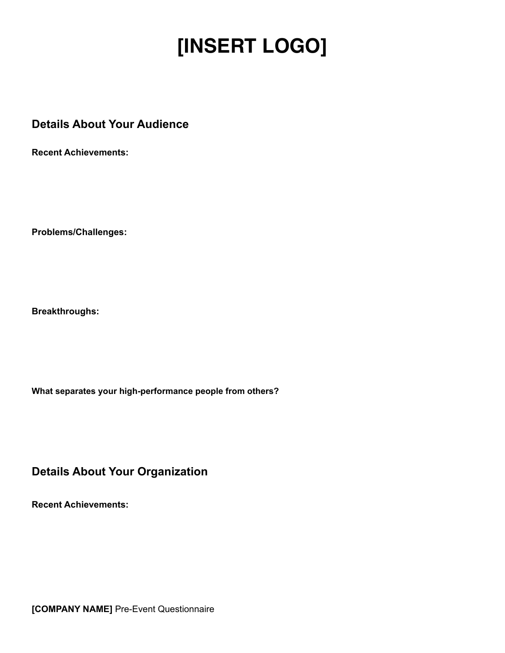#### **Details About Your Audience**

**Recent Achievements:**

**Problems/Challenges:**

**Breakthroughs:**

**What separates your high-performance people from others?**

**Details About Your Organization**

**Recent Achievements:**

**[COMPANY NAME]** Pre-Event Questionnaire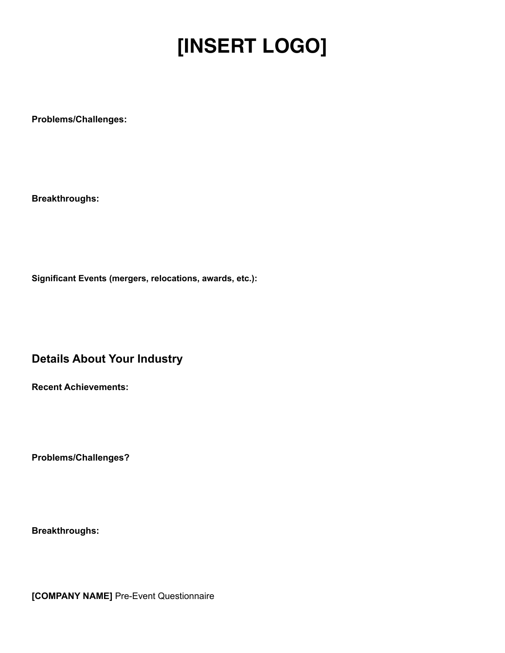**Problems/Challenges:**

**Breakthroughs:**

**Significant Events (mergers, relocations, awards, etc.):**

**Details About Your Industry**

**Recent Achievements:**

**Problems/Challenges?**

**Breakthroughs:**

**[COMPANY NAME]** Pre-Event Questionnaire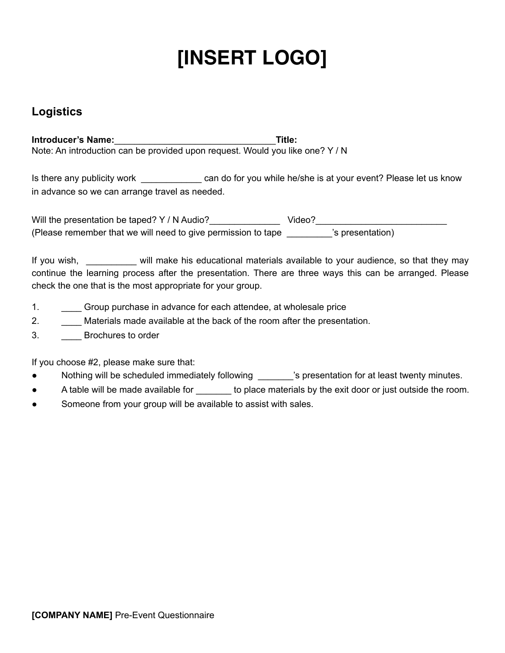#### **Logistics**

**Introducer's Name:**\_\_\_\_\_\_\_\_\_\_\_\_\_\_\_\_\_\_\_\_\_\_\_\_\_\_\_\_\_\_\_\_**Title:**  Note: An introduction can be provided upon request. Would you like one? Y / N

Is there any publicity work \_\_\_\_\_\_\_\_\_\_\_\_\_\_\_ can do for you while he/she is at your event? Please let us know in advance so we can arrange travel as needed.

Will the presentation be taped? Y / N Audio?\_\_\_\_\_\_\_\_\_\_\_\_\_\_ Video?\_\_\_\_\_\_\_\_\_\_\_\_\_\_\_\_\_\_\_\_\_\_\_\_\_\_ (Please remember that we will need to give permission to tape \_\_\_\_\_\_\_\_\_'s presentation)

If you wish, will make his educational materials available to your audience, so that they may continue the learning process after the presentation. There are three ways this can be arranged. Please check the one that is the most appropriate for your group.

- 1. \_\_\_\_ Group purchase in advance for each attendee, at wholesale price
- 2. \_\_\_\_ Materials made available at the back of the room after the presentation.
- 3. **\_\_\_\_** Brochures to order

If you choose #2, please make sure that:

- Nothing will be scheduled immediately following \_\_\_\_\_\_\_'s presentation for at least twenty minutes.
- A table will be made available for \_\_\_\_\_\_\_ to place materials by the exit door or just outside the room.
- Someone from your group will be available to assist with sales.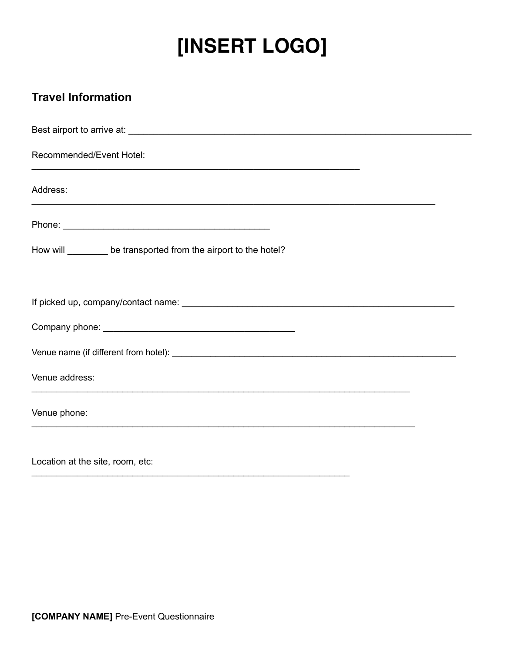#### **Travel Information**

| Recommended/Event Hotel:                                                                          |  |
|---------------------------------------------------------------------------------------------------|--|
| Address:                                                                                          |  |
|                                                                                                   |  |
| How will ________ be transported from the airport to the hotel?                                   |  |
|                                                                                                   |  |
|                                                                                                   |  |
|                                                                                                   |  |
| Venue address:                                                                                    |  |
| Venue phone:<br>,我们也不能在这里的人,我们也不能在这里的人,我们也不能在这里的人,我们也不能在这里的人,我们也不能在这里的人,我们也不能在这里的人,我们也不能在这里的人,我们也 |  |
| Location at the site, room, etc:                                                                  |  |